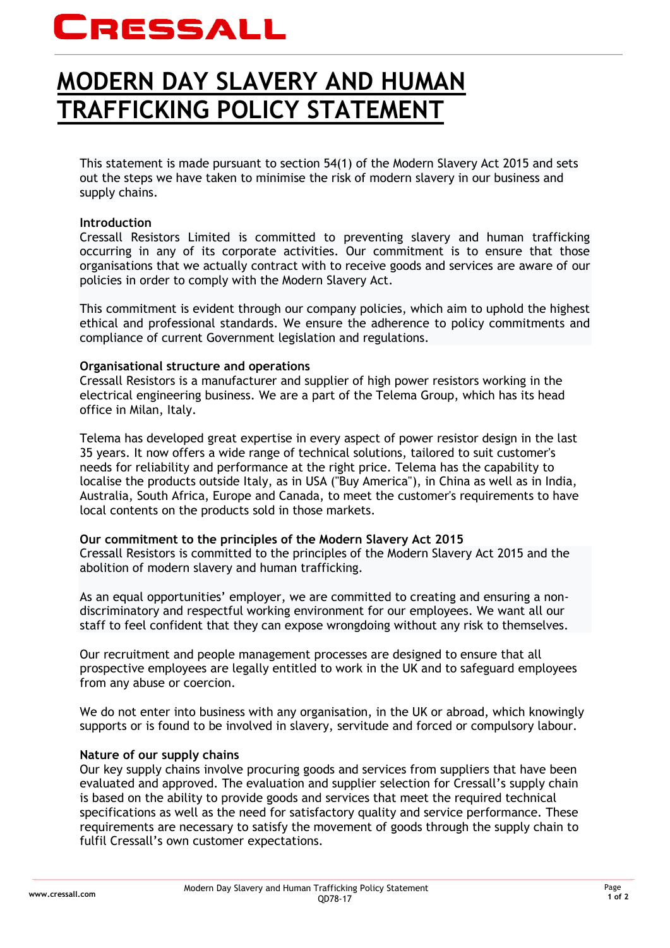# CRESSALL

## **MODERN DAY SLAVERY AND HUMAN TRAFFICKING POLICY STATEMENT**

This statement is made pursuant to section 54(1) of the Modern Slavery Act 2015 and sets out the steps we have taken to minimise the risk of modern slavery in our business and supply chains.

#### **Introduction**

Cressall Resistors Limited is committed to preventing slavery and human trafficking occurring in any of its corporate activities. Our commitment is to ensure that those organisations that we actually contract with to receive goods and services are aware of our policies in order to comply with the Modern Slavery Act.

This commitment is evident through our company policies, which aim to uphold the highest ethical and professional standards. We ensure the adherence to policy commitments and compliance of current Government legislation and regulations.

#### **Organisational structure and operations**

Cressall Resistors is a manufacturer and supplier of high power resistors working in the electrical engineering business. We are a part of the Telema Group, which has its head office in Milan, Italy.

Telema has developed great expertise in every aspect of power resistor design in the last 35 years. It now offers a wide range of technical solutions, tailored to suit customer's needs for reliability and performance at the right price. Telema has the capability to localise the products outside Italy, as in USA ("Buy America"), in China as well as in India, Australia, South Africa, Europe and Canada, to meet the customer's requirements to have local contents on the products sold in those markets.

### **Our commitment to the principles of the Modern Slavery Act 2015**

Cressall Resistors is committed to the principles of the Modern Slavery Act 2015 and the abolition of modern slavery and human trafficking.

As an equal opportunities' employer, we are committed to creating and ensuring a nondiscriminatory and respectful working environment for our employees. We want all our staff to feel confident that they can expose wrongdoing without any risk to themselves.

Our recruitment and people management processes are designed to ensure that all prospective employees are legally entitled to work in the UK and to safeguard employees from any abuse or coercion.

We do not enter into business with any organisation, in the UK or abroad, which knowingly supports or is found to be involved in slavery, servitude and forced or compulsory labour.

#### **Nature of our supply chains**

Our key supply chains involve procuring goods and services from suppliers that have been evaluated and approved. The evaluation and supplier selection for Cressall's supply chain is based on the ability to provide goods and services that meet the required technical specifications as well as the need for satisfactory quality and service performance. These requirements are necessary to satisfy the movement of goods through the supply chain to fulfil Cressall's own customer expectations.